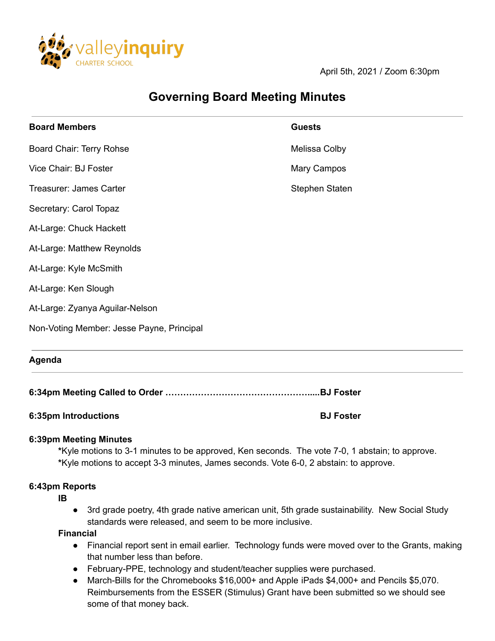

April 5th, 2021 / Zoom 6:30pm

# **Governing Board Meeting Minutes**

| <b>Board Members</b>                      | <b>Guests</b>  |
|-------------------------------------------|----------------|
| Board Chair: Terry Rohse                  | Melissa Colby  |
| Vice Chair: BJ Foster                     | Mary Campos    |
| Treasurer: James Carter                   | Stephen Staten |
| Secretary: Carol Topaz                    |                |
| At-Large: Chuck Hackett                   |                |
| At-Large: Matthew Reynolds                |                |
| At-Large: Kyle McSmith                    |                |
| At-Large: Ken Slough                      |                |
| At-Large: Zyanya Aguilar-Nelson           |                |
| Non-Voting Member: Jesse Payne, Principal |                |
| Agenda                                    |                |
|                                           |                |

**6:34pm Meeting Called to Order ………………………………………….....BJ Foster**

### **6:35pm Introductions BJ Foster**

### **6:39pm Meeting Minutes**

**\***Kyle motions to 3-1 minutes to be approved, Ken seconds. The vote 7-0, 1 abstain; to approve. **\***Kyle motions to accept 3-3 minutes, James seconds. Vote 6-0, 2 abstain: to approve.

#### **6:43pm Reports**

**IB**

● 3rd grade poetry, 4th grade native american unit, 5th grade sustainability. New Social Study standards were released, and seem to be more inclusive.

**Financial**

- Financial report sent in email earlier. Technology funds were moved over to the Grants, making that number less than before.
- February-PPE, technology and student/teacher supplies were purchased.
- March-Bills for the Chromebooks \$16,000+ and Apple iPads \$4,000+ and Pencils \$5,070. Reimbursements from the ESSER (Stimulus) Grant have been submitted so we should see some of that money back.